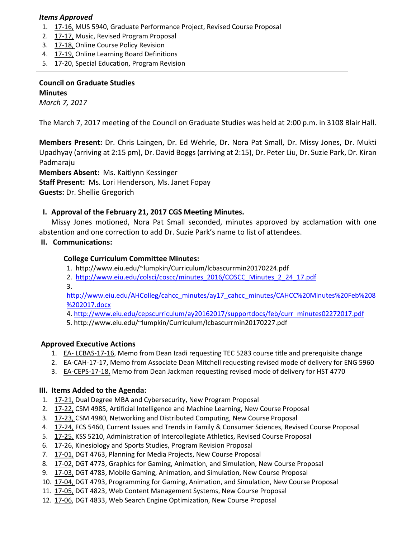### *Items Approved*

- 1. 17‐[16,](http://castle.eiu.edu/eiucgs/currentagendaitems/agenda17-16.pdf) MUS 5940, Graduate Performance Project, Revised Course Proposal
- 2. 17‐[17,](http://castle.eiu.edu/eiucgs/currentagendaitems/agenda17-17.pdf) Music, Revised Program Proposal
- 3. 17‐[18,](http://castle.eiu.edu/eiucgs/currentagendaitems/agenda17-18.pdf) Online Course Policy Revision

- 4. 17‐[19,](http://castle.eiu.edu/eiucgs/currentagendaitems/agenda17-19.pdf) Online Learning Board Definitions
- 5. 17-[20,](http://castle.eiu.edu/eiucgs/currentagendaitems/agenda17-20.pdf) Special Education, Program Revision

## **Council on Graduate Studies Minutes**

*March 7, 2017*

The March 7, 2017 meeting of the Council on Graduate Studies was held at 2:00 p.m. in 3108 Blair Hall.

**Members Present:** Dr. Chris Laingen, Dr. Ed Wehrle, Dr. Nora Pat Small, Dr. Missy Jones, Dr. Mukti Upadhyay (arriving at 2:15 pm), Dr. David Boggs(arriving at 2:15), Dr. Peter Liu, Dr. Suzie Park, Dr. Kiran Padmaraju

**Members Absent:** Ms. Kaitlynn Kessinger

**Staff Present:** Ms. Lori Henderson, Ms. Janet Fopay

**Guests:** Dr. Shellie Gregorich

### **I. Approval of the [February](http://castle.eiu.edu/eiucgs/currentminutes/Minutes2-21-17.pdf) 21, 2017 CGS Meeting Minutes.**

Missy Jones motioned, Nora Pat Small seconded, minutes approved by acclamation with one abstention and one correction to add Dr. Suzie Park's name to list of attendees.

### **II. Communications:**

### **College Curriculum Committee Minutes:**

- 1. [http://www.eiu.edu/~lumpkin/Curriculum/lcbascurrmin20170224.pdf](http://www.eiu.edu/lumpkin/Curriculum/lcbascurrmin20170210.pdf)
- 2. [http://www.eiu.edu/colsci/coscc/minutes\\_2016/COSCC\\_Minutes\\_2\\_24\\_17.pd](http://www.eiu.edu/colsci/coscc/minutes_2016/COSCC_Minutes_2_24_17.pdf)f
- 3.

[http://www.eiu.edu/AHColleg/cahcc\\_minutes/ay17\\_cahcc\\_minutes/CAHCC%20Minutes%20Feb%208](http://www.eiu.edu/AHColleg/cahcc_minutes/ay16_cahcc_minutes/CAHCC%20Minutes%20Jan%2025%202017.docx) %202017.docx

- 4. [http://www.eiu.edu/cepscurriculum/ay20162017/supportdocs/feb/curr\\_minutes0227](http://www.eiu.edu/cepscurriculum/ay20162017/supportdocs/feb/curr_minutes02272017.pdf)2017.pdf
- 5. <http://www.eiu.edu/~lumpkin/Curriculum/lcbascurrmin20170227.pdf>

## **Approved Executive Actions**

- 1. EA‐ [LCBAS](http://castle.eiu.edu/eiucgs/exec-actions/EA-LCBAS-17-16.pdf)‐17‐16, Memo from Dean Izadi requesting TEC 5283 course title and prerequisite change
- 2. EA-[CAH](http://castle.eiu.edu/eiucgs/exec-actions/EA-CAH-17-17.pdf)-17-17, Memo from Associate Dean Mitchell requesting revised mode of delivery for ENG 5960
- 3. EA-[CEPS](http://castle.eiu.edu/eiucgs/exec-actions/EA-CEPS-17-18.pdf)-17-18, Memo from Dean Jackman requesting revised mode of delivery for HST 4770

#### **III. Items Added to the Agenda:**

- 1. 17‐[21,](http://castle.eiu.edu/eiucgs/currentagendaitems/agenda17-21.pdf) Dual Degree MBA and Cybersecurity, New Program Proposal
- 2. 17‐[22,](http://castle.eiu.edu/eiucgs/currentagendaitems/agenda17-22.pdf) CSM 4985, Artificial Intelligence and Machine Learning, New Course Proposal
- 3. 17-[23,](http://castle.eiu.edu/eiucgs/currentagendaitems/agenda17-23.pdf) CSM 4980, Networking and Distributed Computing, New Course Proposal
- 4. 17-[24,](http://castle.eiu.edu/eiucgs/currentagendaitems/agenda17-24.pdf) FCS 5460, Current Issues and Trends in Family & Consumer Sciences, Revised Course Proposal
- 5. 17-[25,](http://castle.eiu.edu/eiucgs/currentagendaitems/agenda17-25.pdf) KSS 5210, Administration of Intercollegiate Athletics, Revised Course Proposal
- 6. 17‐[26,](http://castle.eiu.edu/eiucgs/currentagendaitems/agenda17-26.pdf) Kinesiology and Sports Studies, Program Revision Proposal
- 7. 17-[01,](http://castle.eiu.edu/eiucgs/currentagendaitems/agenda17-01.pdf) DGT 4763, Planning for Media Projects, New Course Proposal
- 8. 17-[02,](http://castle.eiu.edu/eiucgs/currentagendaitems/agenda17-02.pdf) DGT 4773, Graphics for Gaming, Animation, and Simulation, New Course Proposal
- 9. 17‐[03,](http://castle.eiu.edu/eiucgs/currentagendaitems/agenda17-03.pdf) DGT 4783, Mobile Gaming, Animation, and Simulation, New Course Proposal
- 10. 17‐[04,](http://castle.eiu.edu/eiucgs/currentagendaitems/agenda17-04.pdf) DGT 4793, Programming for Gaming, Animation, and Simulation, New Course Proposal
- 11. 17‐[05,](http://castle.eiu.edu/eiucgs/currentagendaitems/agenda17-05.pdf) DGT 4823, Web Content Management Systems, New Course Proposal
- 12. 17‐[06,](http://castle.eiu.edu/eiucgs/currentagendaitems/agenda17-06.pdf) DGT 4833, Web Search Engine Optimization, New Course Proposal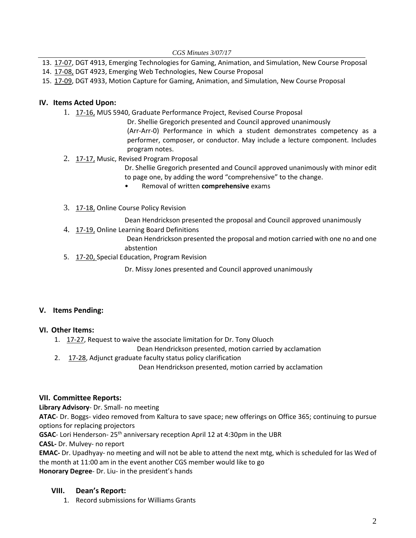*CGS Minutes 3/07/17* 

- 13. 17-[07,](http://castle.eiu.edu/eiucgs/currentagendaitems/agenda17-07.pdf) DGT 4913, Emerging Technologies for Gaming, Animation, and Simulation, New Course Proposal
- 14. 17‐[08,](http://castle.eiu.edu/eiucgs/currentagendaitems/agenda17-08.pdf) DGT 4923, Emerging Web Technologies, New Course Proposal
- 15. 17‐[09,](http://castle.eiu.edu/eiucgs/currentagendaitems/agenda17-09.pdf) DGT 4933, Motion Capture for Gaming, Animation, and Simulation, New Course Proposal

# **IV. Items Acted Upon:**

- 1. 17‐[16,](http://castle.eiu.edu/eiucgs/currentagendaitems/agenda17-16.pdf) MUS 5940, Graduate Performance Project, Revised Course Proposal
	- Dr. Shellie Gregorich presented and Council approved unanimously (Arr‐Arr‐0) Performance in which a student demonstrates competency as a performer, composer, or conductor. May include a lecture component. Includes program notes.
- 2. 17-[17,](http://castle.eiu.edu/eiucgs/currentagendaitems/agenda17-17.pdf) Music, Revised Program Proposal

Dr. Shellie Gregorich presented and Council approved unanimously with minor edit to page one, by adding the word "comprehensive" to the change.

- Removal of written **comprehensive** exams
- 3. 17-[18,](http://castle.eiu.edu/eiucgs/currentagendaitems/agenda17-18.pdf) Online Course Policy Revision
	- Dean Hendrickson presented the proposal and Council approved unanimously
- 4. 17‐[19,](http://castle.eiu.edu/eiucgs/currentagendaitems/agenda17-19.pdf) Online Learning Board Definitions

Dean Hendrickson presented the proposal and motion carried with one no and one abstention

5. 17‐[20,](http://castle.eiu.edu/eiucgs/currentagendaitems/agenda17-20.pdf) Special Education, Program Revision

Dr. Missy Jones presented and Council approved unanimously

## **V. Items Pending:**

## **VI. Other Items:**

1. 17‐[27,](http://castle.eiu.edu/eiucgs/currentagendaitems/agenda17-27.pdf) Request to waive the associate limitation for Dr. Tony Oluoch

Dean Hendrickson presented, motion carried by acclamation

2. 17‐[28,](http://castle.eiu.edu/eiucgs/currentagendaitems/agenda17-28.pdf) Adjunct graduate faculty status policy clarification

Dean Hendrickson presented, motion carried by acclamation

## **VII. Committee Reports:**

**Library Advisory**‐ Dr. Small‐ no meeting

**ATAC**‐ Dr. Boggs‐ video removed from Kaltura to save space; new offerings on Office 365; continuing to pursue options for replacing projectors

**GSAC**- Lori Henderson- 25<sup>th</sup> anniversary reception April 12 at 4:30pm in the UBR

**CASL‐** Dr. Mulvey‐ no report

**EMAC‐** Dr. Upadhyay‐ no meeting and will not be able to attend the next mtg, which is scheduled for las Wed of the month at 11:00 am in the event another CGS member would like to go **Honorary Degree**‐ Dr. Liu‐ in the president's hands

# **VIII. Dean's Report:**

1. Record submissions for Williams Grants